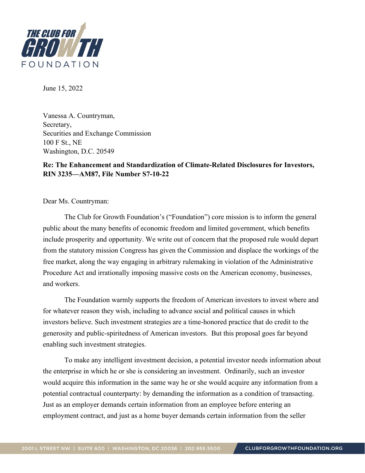

June 15, 2022

Vanessa A. Countryman, Secretary, Securities and Exchange Commission 100 F St., NE Washington, D.C. 20549

## **Re: The Enhancement and Standardization of Climate-Related Disclosures for Investors, RIN 3235—AM87, File Number S7-10-22**

Dear Ms. Countryman:

 The Club for Growth Foundation's ("Foundation") core mission is to inform the general public about the many benefits of economic freedom and limited government, which benefits include prosperity and opportunity. We write out of concern that the proposed rule would depart from the statutory mission Congress has given the Commission and displace the workings of the free market, along the way engaging in arbitrary rulemaking in violation of the Administrative Procedure Act and irrationally imposing massive costs on the American economy, businesses, and workers.

 The Foundation warmly supports the freedom of American investors to invest where and for whatever reason they wish, including to advance social and political causes in which investors believe. Such investment strategies are a time-honored practice that do credit to the generosity and public-spiritedness of American investors. But this proposal goes far beyond enabling such investment strategies.

 To make any intelligent investment decision, a potential investor needs information about the enterprise in which he or she is considering an investment. Ordinarily, such an investor would acquire this information in the same way he or she would acquire any information from a potential contractual counterparty: by demanding the information as a condition of transacting. Just as an employer demands certain information from an employee before entering an employment contract, and just as a home buyer demands certain information from the seller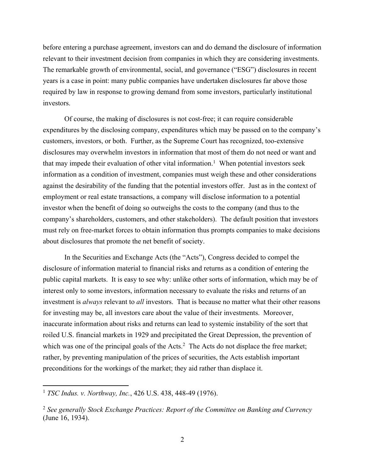before entering a purchase agreement, investors can and do demand the disclosure of information relevant to their investment decision from companies in which they are considering investments. The remarkable growth of environmental, social, and governance ("ESG") disclosures in recent years is a case in point: many public companies have undertaken disclosures far above those required by law in response to growing demand from some investors, particularly institutional investors.

 Of course, the making of disclosures is not cost-free; it can require considerable expenditures by the disclosing company, expenditures which may be passed on to the company's customers, investors, or both. Further, as the Supreme Court has recognized, too-extensive disclosures may overwhelm investors in information that most of them do not need or want and that may impede their evaluation of other vital information.<sup>1</sup> When potential investors seek information as a condition of investment, companies must weigh these and other considerations against the desirability of the funding that the potential investors offer. Just as in the context of employment or real estate transactions, a company will disclose information to a potential investor when the benefit of doing so outweighs the costs to the company (and thus to the company's shareholders, customers, and other stakeholders). The default position that investors must rely on free-market forces to obtain information thus prompts companies to make decisions about disclosures that promote the net benefit of society.

 In the Securities and Exchange Acts (the "Acts"), Congress decided to compel the disclosure of information material to financial risks and returns as a condition of entering the public capital markets. It is easy to see why: unlike other sorts of information, which may be of interest only to some investors, information necessary to evaluate the risks and returns of an investment is *always* relevant to *all* investors. That is because no matter what their other reasons for investing may be, all investors care about the value of their investments. Moreover, inaccurate information about risks and returns can lead to systemic instability of the sort that roiled U.S. financial markets in 1929 and precipitated the Great Depression, the prevention of which was one of the principal goals of the Acts.<sup>2</sup> The Acts do not displace the free market; rather, by preventing manipulation of the prices of securities, the Acts establish important preconditions for the workings of the market; they aid rather than displace it.

<sup>1</sup> *TSC Indus. v. Northway, Inc.*, 426 U.S. 438, 448-49 (1976).

<sup>2</sup> *See generally Stock Exchange Practices: Report of the Committee on Banking and Currency* (June 16, 1934).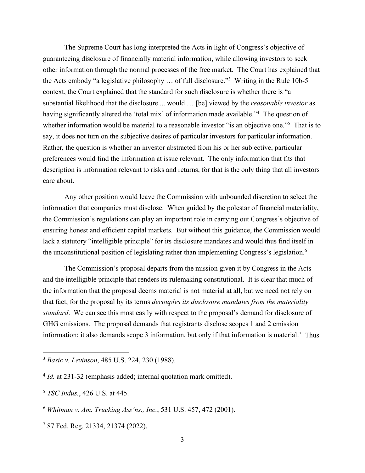The Supreme Court has long interpreted the Acts in light of Congress's objective of guaranteeing disclosure of financially material information, while allowing investors to seek other information through the normal processes of the free market. The Court has explained that the Acts embody "a legislative philosophy ... of full disclosure."<sup>3</sup> Writing in the Rule 10b-5 context, the Court explained that the standard for such disclosure is whether there is "a substantial likelihood that the disclosure ... would … [be] viewed by the *reasonable investor* as having significantly altered the 'total mix' of information made available."<sup>4</sup> The question of whether information would be material to a reasonable investor "is an objective one."<sup>5</sup> That is to say, it does not turn on the subjective desires of particular investors for particular information. Rather, the question is whether an investor abstracted from his or her subjective, particular preferences would find the information at issue relevant. The only information that fits that description is information relevant to risks and returns, for that is the only thing that all investors care about.

 Any other position would leave the Commission with unbounded discretion to select the information that companies must disclose. When guided by the polestar of financial materiality, the Commission's regulations can play an important role in carrying out Congress's objective of ensuring honest and efficient capital markets. But without this guidance, the Commission would lack a statutory "intelligible principle" for its disclosure mandates and would thus find itself in the unconstitutional position of legislating rather than implementing Congress's legislation.<sup>6</sup>

 The Commission's proposal departs from the mission given it by Congress in the Acts and the intelligible principle that renders its rulemaking constitutional. It is clear that much of the information that the proposal deems material is not material at all, but we need not rely on that fact, for the proposal by its terms *decouples its disclosure mandates from the materiality standard*. We can see this most easily with respect to the proposal's demand for disclosure of GHG emissions. The proposal demands that registrants disclose scopes 1 and 2 emission information; it also demands scope 3 information, but only if that information is material.<sup>7</sup> Thus

<sup>3</sup> *Basic v. Levinson*, 485 U.S. 224, 230 (1988).

<sup>&</sup>lt;sup>4</sup> *Id.* at 231-32 (emphasis added; internal quotation mark omitted).

<sup>5</sup> *TSC Indus.*, 426 U.S. at 445.

<sup>6</sup> *Whitman v. Am. Trucking Ass'ns., Inc.*, 531 U.S. 457, 472 (2001).

<sup>7</sup> 87 Fed. Reg. 21334, 21374 (2022).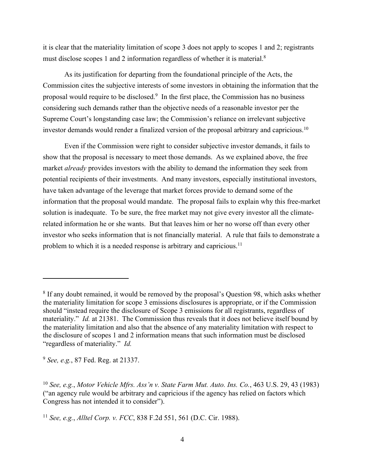it is clear that the materiality limitation of scope 3 does not apply to scopes 1 and 2; registrants must disclose scopes 1 and 2 information regardless of whether it is material.<sup>8</sup>

 As its justification for departing from the foundational principle of the Acts, the Commission cites the subjective interests of some investors in obtaining the information that the proposal would require to be disclosed.<sup>9</sup> In the first place, the Commission has no business considering such demands rather than the objective needs of a reasonable investor per the Supreme Court's longstanding case law; the Commission's reliance on irrelevant subjective investor demands would render a finalized version of the proposal arbitrary and capricious.<sup>10</sup>

 Even if the Commission were right to consider subjective investor demands, it fails to show that the proposal is necessary to meet those demands. As we explained above, the free market *already* provides investors with the ability to demand the information they seek from potential recipients of their investments. And many investors, especially institutional investors, have taken advantage of the leverage that market forces provide to demand some of the information that the proposal would mandate. The proposal fails to explain why this free-market solution is inadequate. To be sure, the free market may not give every investor all the climaterelated information he or she wants. But that leaves him or her no worse off than every other investor who seeks information that is not financially material. A rule that fails to demonstrate a problem to which it is a needed response is arbitrary and capricious.<sup>11</sup>

<sup>&</sup>lt;sup>8</sup> If any doubt remained, it would be removed by the proposal's Question 98, which asks whether the materiality limitation for scope 3 emissions disclosures is appropriate, or if the Commission should "instead require the disclosure of Scope 3 emissions for all registrants, regardless of materiality." *Id.* at 21381. The Commission thus reveals that it does not believe itself bound by the materiality limitation and also that the absence of any materiality limitation with respect to the disclosure of scopes 1 and 2 information means that such information must be disclosed "regardless of materiality." *Id.* 

<sup>9</sup> *See, e.g.*, 87 Fed. Reg. at 21337.

<sup>10</sup> *See, e.g.*, *Motor Vehicle Mfrs. Ass'n v. State Farm Mut. Auto. Ins. Co.*, 463 U.S. 29, 43 (1983) ("an agency rule would be arbitrary and capricious if the agency has relied on factors which Congress has not intended it to consider").

<sup>11</sup> *See, e.g.*, *Alltel Corp. v. FCC*, 838 F.2d 551, 561 (D.C. Cir. 1988).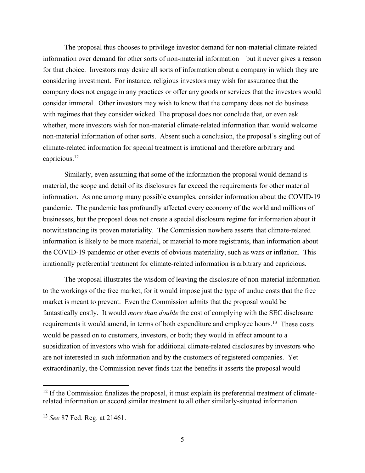The proposal thus chooses to privilege investor demand for non-material climate-related information over demand for other sorts of non-material information—but it never gives a reason for that choice. Investors may desire all sorts of information about a company in which they are considering investment. For instance, religious investors may wish for assurance that the company does not engage in any practices or offer any goods or services that the investors would consider immoral. Other investors may wish to know that the company does not do business with regimes that they consider wicked. The proposal does not conclude that, or even ask whether, more investors wish for non-material climate-related information than would welcome non-material information of other sorts. Absent such a conclusion, the proposal's singling out of climate-related information for special treatment is irrational and therefore arbitrary and capricious.<sup>12</sup>

 Similarly, even assuming that some of the information the proposal would demand is material, the scope and detail of its disclosures far exceed the requirements for other material information. As one among many possible examples, consider information about the COVID-19 pandemic. The pandemic has profoundly affected every economy of the world and millions of businesses, but the proposal does not create a special disclosure regime for information about it notwithstanding its proven materiality. The Commission nowhere asserts that climate-related information is likely to be more material, or material to more registrants, than information about the COVID-19 pandemic or other events of obvious materiality, such as wars or inflation. This irrationally preferential treatment for climate-related information is arbitrary and capricious.

 The proposal illustrates the wisdom of leaving the disclosure of non-material information to the workings of the free market, for it would impose just the type of undue costs that the free market is meant to prevent. Even the Commission admits that the proposal would be fantastically costly. It would *more than double* the cost of complying with the SEC disclosure requirements it would amend, in terms of both expenditure and employee hours.<sup>13</sup> These costs would be passed on to customers, investors, or both; they would in effect amount to a subsidization of investors who wish for additional climate-related disclosures by investors who are not interested in such information and by the customers of registered companies. Yet extraordinarily, the Commission never finds that the benefits it asserts the proposal would

<sup>&</sup>lt;sup>12</sup> If the Commission finalizes the proposal, it must explain its preferential treatment of climaterelated information or accord similar treatment to all other similarly-situated information.

<sup>13</sup> *See* 87 Fed. Reg. at 21461.